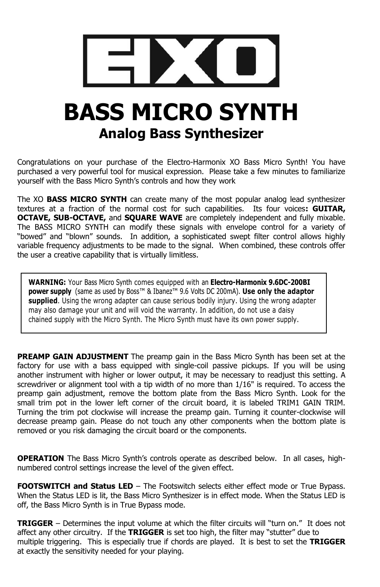# **BASS MICRO SYNTH Analog Bass Synthesizer**

Congratulations on your purchase of the Electro-Harmonix XO Bass Micro Synth! You have purchased a very powerful tool for musical expression. Please take a few minutes to familiarize yourself with the Bass Micro Synth's controls and how they work

The XO **BASS MICRO SYNTH** can create many of the most popular analog lead synthesizer textures at a fraction of the normal cost for such capabilities. Its four voices**: GUITAR, OCTAVE, SUB-OCTAVE,** and **SQUARE WAVE** are completely independent and fully mixable. The BASS MICRO SYNTH can modify these signals with envelope control for a variety of "bowed" and "blown" sounds. In addition, a sophisticated swept filter control allows highly variable frequency adjustments to be made to the signal. When combined, these controls offer the user a creative capability that is virtually limitless.

**WARNING:** Your Bass Micro Synth comes equipped with an **Electro-Harmonix 9.6DC-200BI power supply** (same as used by Boss™ & Ibanez™ 9.6 Volts DC 200mA). **Use only the adaptor supplied**. Using the wrong adapter can cause serious bodily injury. Using the wrong adapter may also damage your unit and will void the warranty. In addition, do not use a daisy chained supply with the Micro Synth. The Micro Synth must have its own power supply.

**PREAMP GAIN ADJUSTMENT** The preamp gain in the Bass Micro Synth has been set at the factory for use with a bass equipped with single-coil passive pickups. If you will be using another instrument with higher or lower output, it may be necessary to readjust this setting. A screwdriver or alignment tool with a tip width of no more than 1/16" is required. To access the preamp gain adjustment, remove the bottom plate from the Bass Micro Synth. Look for the small trim pot in the lower left corner of the circuit board, it is labeled TRIM1 GAIN TRIM. Turning the trim pot clockwise will increase the preamp gain. Turning it counter-clockwise will decrease preamp gain. Please do not touch any other components when the bottom plate is removed or you risk damaging the circuit board or the components.

**OPERATION** The Bass Micro Synth's controls operate as described below. In all cases, highnumbered control settings increase the level of the given effect.

**FOOTSWITCH and Status LED** – The Footswitch selects either effect mode or True Bypass. When the Status LED is lit, the Bass Micro Synthesizer is in effect mode. When the Status LED is off, the Bass Micro Synth is in True Bypass mode.

**TRIGGER** – Determines the input volume at which the filter circuits will "turn on." It does not affect any other circuitry. If the **TRIGGER** is set too high, the filter may "stutter" due to multiple triggering. This is especially true if chords are played. It is best to set the **TRIGGER** at exactly the sensitivity needed for your playing.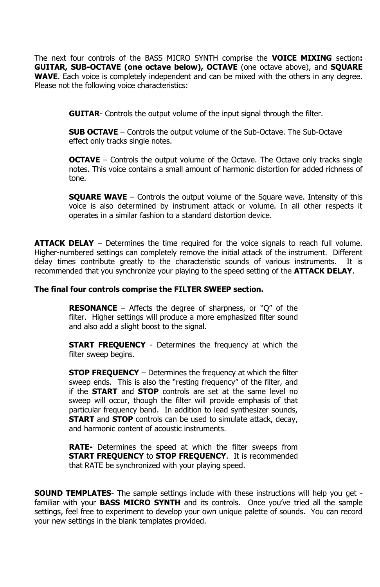The next four controls of the BASS MICRO SYNTH comprise the **VOICE MIXING** section**: GUITAR, SUB-OCTAVE (one octave below), OCTAVE** (one octave above), and **SQUARE WAVE**. Each voice is completely independent and can be mixed with the others in any degree. Please not the following voice characteristics:

**GUITAR**- Controls the output volume of the input signal through the filter.

**SUB OCTAVE** – Controls the output volume of the Sub-Octave. The Sub-Octave effect only tracks single notes.

**OCTAVE** – Controls the output volume of the Octave. The Octave only tracks single notes. This voice contains a small amount of harmonic distortion for added richness of tone.

**SQUARE WAVE** – Controls the output volume of the Square wave. Intensity of this voice is also determined by instrument attack or volume. In all other respects it operates in a similar fashion to a standard distortion device.

**ATTACK DELAY** – Determines the time required for the voice signals to reach full volume. Higher-numbered settings can completely remove the initial attack of the instrument. Different delay times contribute greatly to the characteristic sounds of various instruments. It is recommended that you synchronize your playing to the speed setting of the **ATTACK DELAY**.

### **The final four controls comprise the FILTER SWEEP section.**

**RESONANCE** – Affects the degree of sharpness, or "Q" of the filter. Higher settings will produce a more emphasized filter sound and also add a slight boost to the signal.

**START FREQUENCY** - Determines the frequency at which the filter sweep begins.

**STOP FREQUENCY** – Determines the frequency at which the filter sweep ends. This is also the "resting frequency" of the filter, and if the **START** and **STOP** controls are set at the same level no sweep will occur, though the filter will provide emphasis of that particular frequency band. In addition to lead synthesizer sounds, **START** and **STOP** controls can be used to simulate attack, decay, and harmonic content of acoustic instruments.

**RATE-** Determines the speed at which the filter sweeps from **START FREQUENCY** to **STOP FREQUENCY**. It is recommended that RATE be synchronized with your playing speed.

**SOUND TEMPLATES**- The sample settings include with these instructions will help you get familiar with your **BASS MICRO SYNTH** and its controls. Once you've tried all the sample settings, feel free to experiment to develop your own unique palette of sounds. You can record your new settings in the blank templates provided.